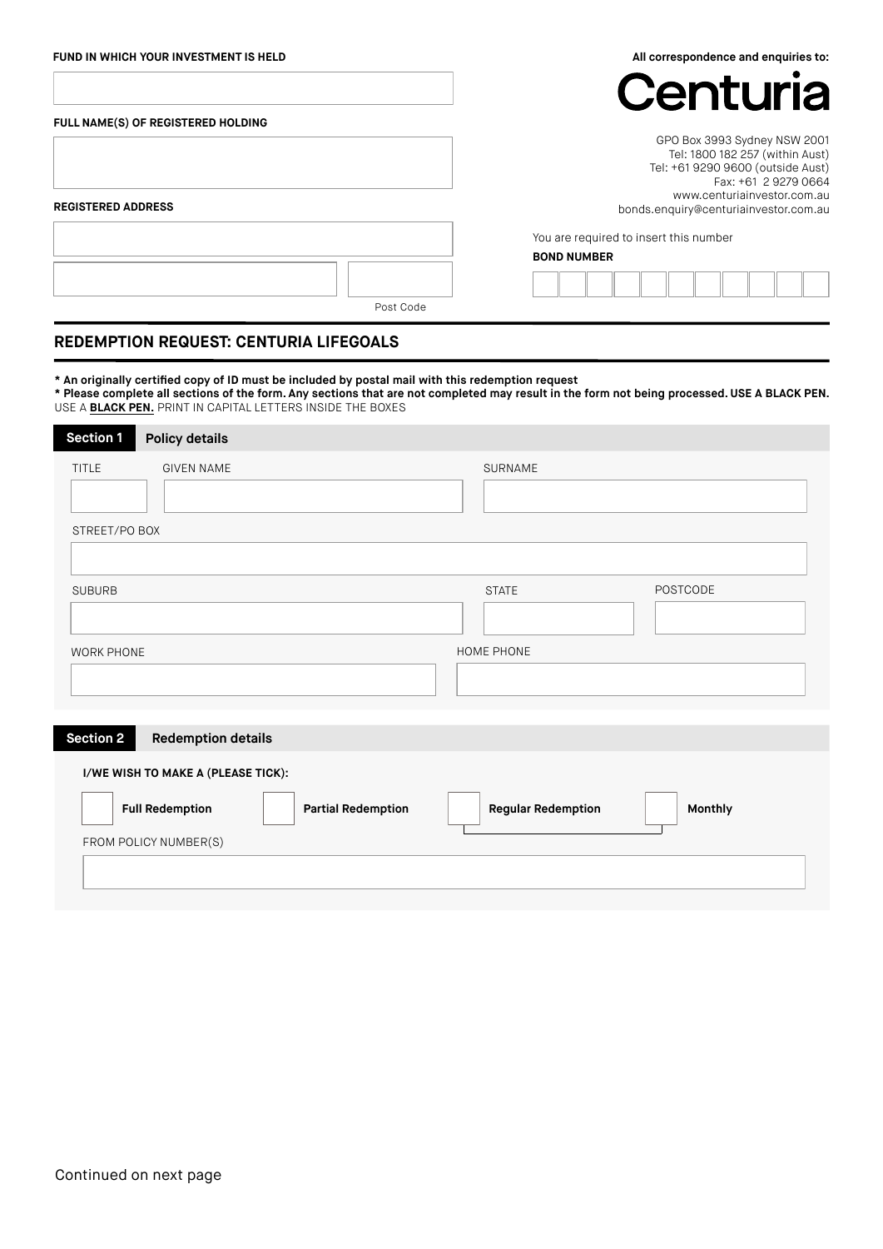#### **FUND IN WHICH YOUR INVESTMENT IS HELD**

**All correspondence and enquiries to:**

 $\bullet$ 

|                                    | Centuria                                                                                                                                                                                             |
|------------------------------------|------------------------------------------------------------------------------------------------------------------------------------------------------------------------------------------------------|
| FULL NAME(S) OF REGISTERED HOLDING |                                                                                                                                                                                                      |
| <b>REGISTERED ADDRESS</b>          | GPO Box 3993 Sydney NSW 2001<br>Tel: 1800 182 257 (within Aust)<br>Tel: +61 9290 9600 (outside Aust)<br>Fax: +61 2 9279 0664<br>www.centuriainvestor.com.au<br>bonds.enquiry@centuriainvestor.com.au |
|                                    | You are required to insert this number                                                                                                                                                               |
|                                    | <b>BOND NUMBER</b>                                                                                                                                                                                   |
|                                    |                                                                                                                                                                                                      |
| Post Code                          |                                                                                                                                                                                                      |

# **REDEMPTION REQUEST: CENTURIA LIFEGOALS**

- **\* An originally certified copy of ID must be included by postal mail with this redemption request**
- **\* Please complete all sections of the form. Any sections that are not completed may result in the form not being processed. USE A BLACK PEN.**  USE A **BLACK PEN.** PRINT IN CAPITAL LETTERS INSIDE THE BOXES

| <b>Section 1</b><br><b>Policy details</b>                                                 |                                      |
|-------------------------------------------------------------------------------------------|--------------------------------------|
| <b>TITLE</b><br><b>GIVEN NAME</b><br>STREET/PO BOX                                        | SURNAME                              |
| <b>SUBURB</b>                                                                             | <b>POSTCODE</b><br><b>STATE</b>      |
| <b>WORK PHONE</b>                                                                         | HOME PHONE                           |
| <b>Section 2</b><br><b>Redemption details</b>                                             |                                      |
| I/WE WISH TO MAKE A (PLEASE TICK):<br><b>Full Redemption</b><br><b>Partial Redemption</b> | Monthly<br><b>Regular Redemption</b> |
| FROM POLICY NUMBER(S)                                                                     |                                      |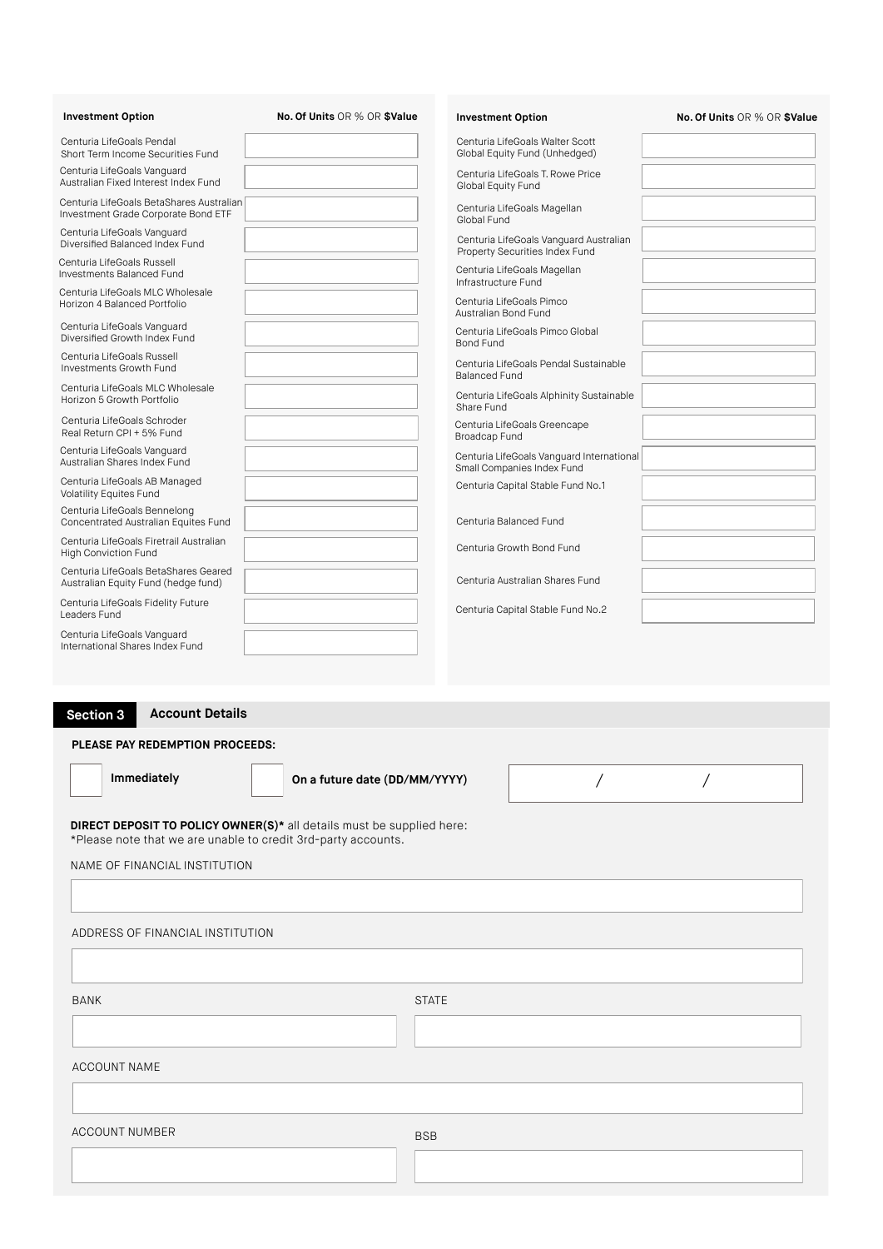| <b>Investment Option</b>                                                        | No. Of Units OR % OR \$Value  | <b>Investment Option</b>                                                 | No. Of Units OR % OR \$Value |
|---------------------------------------------------------------------------------|-------------------------------|--------------------------------------------------------------------------|------------------------------|
| Centuria LifeGoals Pendal<br>Short Term Income Securities Fund                  |                               | Centuria LifeGoals Walter Scott<br>Global Equity Fund (Unhedged)         |                              |
| Centuria LifeGoals Vanguard<br>Australian Fixed Interest Index Fund             |                               | Centuria LifeGoals T. Rowe Price<br>Global Equity Fund                   |                              |
| Centuria LifeGoals BetaShares Australian<br>Investment Grade Corporate Bond ETF |                               | Centuria LifeGoals Magellan<br>Global Fund                               |                              |
| Centuria LifeGoals Vanguard<br>Diversified Balanced Index Fund                  |                               | Centuria LifeGoals Vanguard Australian<br>Property Securities Index Fund |                              |
| Centuria LifeGoals Russell<br>Investments Balanced Fund                         |                               | Centuria LifeGoals Magellan<br>Infrastructure Fund                       |                              |
| Centuria LifeGoals MLC Wholesale<br>Horizon 4 Balanced Portfolio                |                               | Centuria LifeGoals Pimco<br>Australian Bond Fund                         |                              |
| Centuria LifeGoals Vanguard<br>Diversified Growth Index Fund                    |                               | Centuria LifeGoals Pimco Global<br>Bond Fund                             |                              |
| Centuria LifeGoals Russell<br>Investments Growth Fund                           |                               | Centuria LifeGoals Pendal Sustainable<br><b>Balanced Fund</b>            |                              |
| Centuria LifeGoals MLC Wholesale<br>Horizon 5 Growth Portfolio                  |                               | Centuria LifeGoals Alphinity Sustainable<br>Share Fund                   |                              |
| Centuria LifeGoals Schroder<br>Real Return CPI + 5% Fund                        |                               | Centuria LifeGoals Greencape<br>Broadcap Fund                            |                              |
| Centuria LifeGoals Vanguard<br>Australian Shares Index Fund                     |                               | Centuria LifeGoals Vanguard International<br>Small Companies Index Fund  |                              |
| Centuria LifeGoals AB Managed<br><b>Volatility Equites Fund</b>                 |                               | Centuria Capital Stable Fund No.1                                        |                              |
| Centuria LifeGoals Bennelong<br>Concentrated Australian Equites Fund            |                               | Centuria Balanced Fund                                                   |                              |
| Centuria LifeGoals Firetrail Australian<br><b>High Conviction Fund</b>          |                               | Centuria Growth Bond Fund                                                |                              |
| Centuria LifeGoals BetaShares Geared<br>Australian Equity Fund (hedge fund)     |                               | Centuria Australian Shares Fund                                          |                              |
| Centuria LifeGoals Fidelity Future<br>Leaders Fund                              |                               | Centuria Capital Stable Fund No.2                                        |                              |
| Centuria LifeGoals Vanguard<br>International Shares Index Fund                  |                               |                                                                          |                              |
|                                                                                 |                               |                                                                          |                              |
|                                                                                 |                               |                                                                          |                              |
| <b>Account Details</b><br><b>Section 3</b>                                      |                               |                                                                          |                              |
| PLEASE PAY REDEMPTION PROCEEDS:                                                 |                               |                                                                          |                              |
| Immediately                                                                     | On a future date (DD/MM/YYYY) |                                                                          |                              |
| <b>DIRECT DEPOSIT TO POLICY OWNER(S)*</b> all details must be supplied here:    |                               |                                                                          |                              |
| *Please note that we are unable to credit 3rd-party accounts.                   |                               |                                                                          |                              |
| NAME OF FINANCIAL INSTITUTION                                                   |                               |                                                                          |                              |
|                                                                                 |                               |                                                                          |                              |
| ADDRESS OF FINANCIAL INSTITUTION                                                |                               |                                                                          |                              |
|                                                                                 |                               |                                                                          |                              |
|                                                                                 |                               |                                                                          |                              |
| BANK                                                                            |                               | <b>STATE</b>                                                             |                              |
|                                                                                 |                               |                                                                          |                              |
| <b>ACCOUNT NAME</b>                                                             |                               |                                                                          |                              |
|                                                                                 |                               |                                                                          |                              |
| <b>ACCOUNT NUMBER</b>                                                           |                               | <b>BSB</b>                                                               |                              |
|                                                                                 |                               |                                                                          |                              |